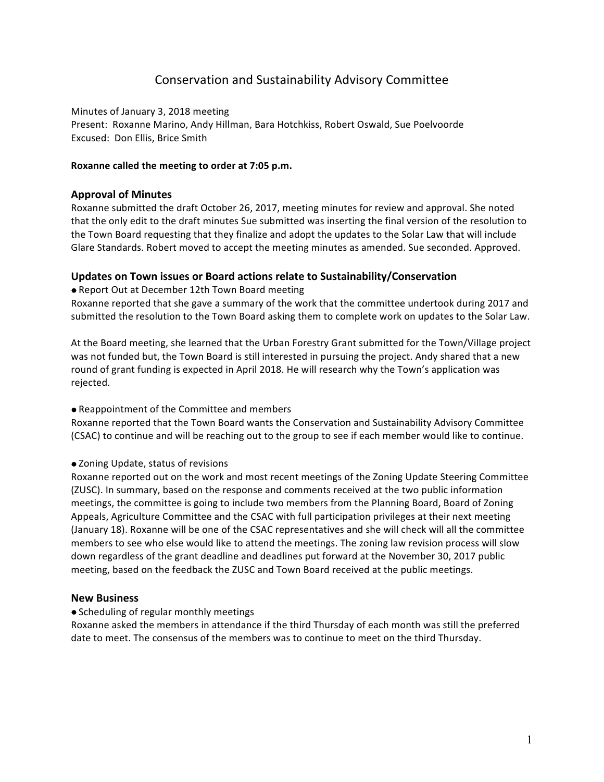# Conservation and Sustainability Advisory Committee

Minutes of January 3, 2018 meeting Present: Roxanne Marino, Andy Hillman, Bara Hotchkiss, Robert Oswald, Sue Poelvoorde Excused: Don Ellis, Brice Smith

#### Roxanne called the meeting to order at 7:05 p.m.

#### **Approval of Minutes**

Roxanne submitted the draft October 26, 2017, meeting minutes for review and approval. She noted that the only edit to the draft minutes Sue submitted was inserting the final version of the resolution to the Town Board requesting that they finalize and adopt the updates to the Solar Law that will include Glare Standards. Robert moved to accept the meeting minutes as amended. Sue seconded. Approved.

## Updates on Town issues or Board actions relate to Sustainability/Conservation

• Report Out at December 12th Town Board meeting

Roxanne reported that she gave a summary of the work that the committee undertook during 2017 and submitted the resolution to the Town Board asking them to complete work on updates to the Solar Law.

At the Board meeting, she learned that the Urban Forestry Grant submitted for the Town/Village project was not funded but, the Town Board is still interested in pursuing the project. Andy shared that a new round of grant funding is expected in April 2018. He will research why the Town's application was rejected. 

#### • Reappointment of the Committee and members

Roxanne reported that the Town Board wants the Conservation and Sustainability Advisory Committee (CSAC) to continue and will be reaching out to the group to see if each member would like to continue.

#### • Zoning Update, status of revisions

Roxanne reported out on the work and most recent meetings of the Zoning Update Steering Committee (ZUSC). In summary, based on the response and comments received at the two public information meetings, the committee is going to include two members from the Planning Board, Board of Zoning Appeals, Agriculture Committee and the CSAC with full participation privileges at their next meeting (January 18). Roxanne will be one of the CSAC representatives and she will check will all the committee members to see who else would like to attend the meetings. The zoning law revision process will slow down regardless of the grant deadline and deadlines put forward at the November 30, 2017 public meeting, based on the feedback the ZUSC and Town Board received at the public meetings.

#### **New Business**

#### • Scheduling of regular monthly meetings

Roxanne asked the members in attendance if the third Thursday of each month was still the preferred date to meet. The consensus of the members was to continue to meet on the third Thursday.